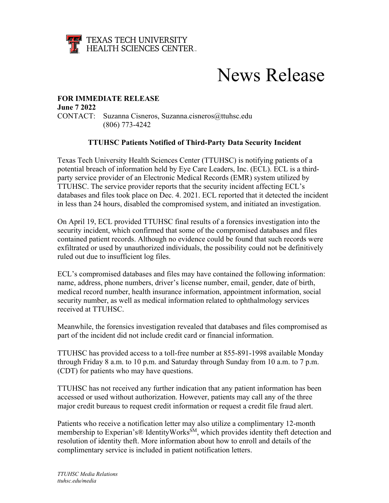

## News Release

## **FOR IMMEDIATE RELEASE**

**June 7 2022**  CONTACT: Suzanna Cisneros, Suzanna.cisneros@ttuhsc.edu (806) 773-4242

## **TTUHSC Patients Notified of Third-Party Data Security Incident**

Texas Tech University Health Sciences Center (TTUHSC) is notifying patients of a potential breach of information held by Eye Care Leaders, Inc. (ECL). ECL is a thirdparty service provider of an Electronic Medical Records (EMR) system utilized by TTUHSC. The service provider reports that the security incident affecting ECL's databases and files took place on Dec. 4. 2021. ECL reported that it detected the incident in less than 24 hours, disabled the compromised system, and initiated an investigation.

On April 19, ECL provided TTUHSC final results of a forensics investigation into the security incident, which confirmed that some of the compromised databases and files contained patient records. Although no evidence could be found that such records were exfiltrated or used by unauthorized individuals, the possibility could not be definitively ruled out due to insufficient log files.

ECL's compromised databases and files may have contained the following information: name, address, phone numbers, driver's license number, email, gender, date of birth, medical record number, health insurance information, appointment information, social security number, as well as medical information related to ophthalmology services received at TTUHSC.

Meanwhile, the forensics investigation revealed that databases and files compromised as part of the incident did not include credit card or financial information.

TTUHSC has provided access to a toll-free number at 855-891-1998 available Monday through Friday 8 a.m. to 10 p.m. and Saturday through Sunday from 10 a.m. to 7 p.m. (CDT) for patients who may have questions.

TTUHSC has not received any further indication that any patient information has been accessed or used without authorization. However, patients may call any of the three major credit bureaus to request credit information or request a credit file fraud alert.

Patients who receive a notification letter may also utilize a complimentary 12-month membership to Experian's® IdentityWorks<sup>SM</sup>, which provides identity theft detection and resolution of identity theft. More information about how to enroll and details of the complimentary service is included in patient notification letters.